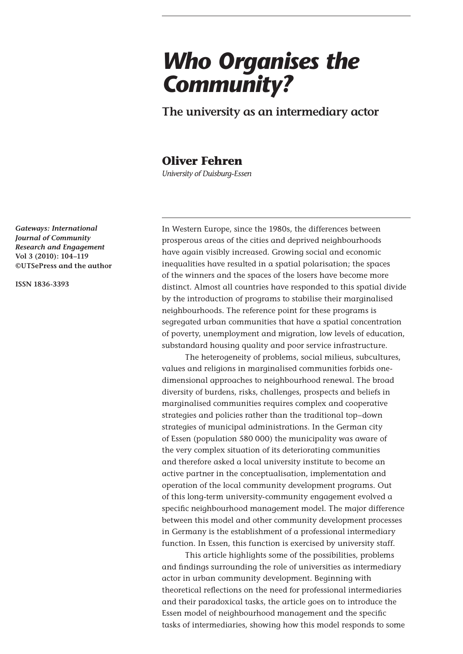# *Who Organises the Community?*

**The university as an intermediary actor**

# **Oliver Fehren**

*University of Duisburg-Essen*

*Gateways: International Journal of Community Research and Engagement*  **Vol 3 (2010): 104–119 ©UTSePress and the author**

**ISSN 1836-3393**

In Western Europe, since the 1980s, the differences between prosperous areas of the cities and deprived neighbourhoods have again visibly increased. Growing social and economic inequalities have resulted in a spatial polarisation; the spaces of the winners and the spaces of the losers have become more distinct. Almost all countries have responded to this spatial divide by the introduction of programs to stabilise their marginalised neighbourhoods. The reference point for these programs is segregated urban communities that have a spatial concentration of poverty, unemployment and migration, low levels of education, substandard housing quality and poor service infrastructure.

The heterogeneity of problems, social milieus, subcultures, values and religions in marginalised communities forbids onedimensional approaches to neighbourhood renewal. The broad diversity of burdens, risks, challenges, prospects and beliefs in marginalised communities requires complex and cooperative strategies and policies rather than the traditional top–down strategies of municipal administrations. In the German city of Essen (population 580 000) the municipality was aware of the very complex situation of its deteriorating communities and therefore asked a local university institute to become an active partner in the conceptualisation, implementation and operation of the local community development programs. Out of this long-term university-community engagement evolved a specific neighbourhood management model. The major difference between this model and other community development processes in Germany is the establishment of a professional intermediary function. In Essen, this function is exercised by university staff.

This article highlights some of the possibilities, problems and findings surrounding the role of universities as intermediary actor in urban community development. Beginning with theoretical reflections on the need for professional intermediaries and their paradoxical tasks, the article goes on to introduce the Essen model of neighbourhood management and the specific tasks of intermediaries, showing how this model responds to some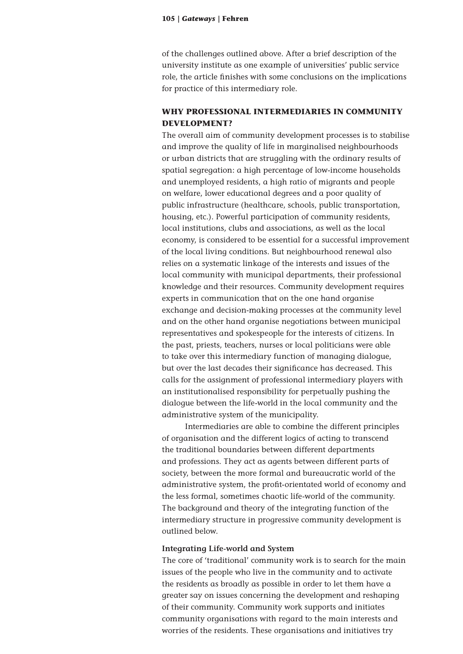of the challenges outlined above. After a brief description of the university institute as one example of universities' public service role, the article finishes with some conclusions on the implications for practice of this intermediary role.

### **WHY PROFESSIONAL INTERMEDIARIES IN COMMUNITY DEVELOPMENT?**

The overall aim of community development processes is to stabilise and improve the quality of life in marginalised neighbourhoods or urban districts that are struggling with the ordinary results of spatial segregation: a high percentage of low-income households and unemployed residents, a high ratio of migrants and people on welfare, lower educational degrees and a poor quality of public infrastructure (healthcare, schools, public transportation, housing, etc.). Powerful participation of community residents, local institutions, clubs and associations, as well as the local economy, is considered to be essential for a successful improvement of the local living conditions. But neighbourhood renewal also relies on a systematic linkage of the interests and issues of the local community with municipal departments, their professional knowledge and their resources. Community development requires experts in communication that on the one hand organise exchange and decision-making processes at the community level and on the other hand organise negotiations between municipal representatives and spokespeople for the interests of citizens. In the past, priests, teachers, nurses or local politicians were able to take over this intermediary function of managing dialogue, but over the last decades their significance has decreased. This calls for the assignment of professional intermediary players with an institutionalised responsibility for perpetually pushing the dialogue between the life-world in the local community and the administrative system of the municipality.

Intermediaries are able to combine the different principles of organisation and the different logics of acting to transcend the traditional boundaries between different departments and professions. They act as agents between different parts of society, between the more formal and bureaucratic world of the administrative system, the profit-orientated world of economy and the less formal, sometimes chaotic life-world of the community. The background and theory of the integrating function of the intermediary structure in progressive community development is outlined below.

#### **Integrating Life-world and System**

The core of 'traditional' community work is to search for the main issues of the people who live in the community and to activate the residents as broadly as possible in order to let them have a greater say on issues concerning the development and reshaping of their community. Community work supports and initiates community organisations with regard to the main interests and worries of the residents. These organisations and initiatives try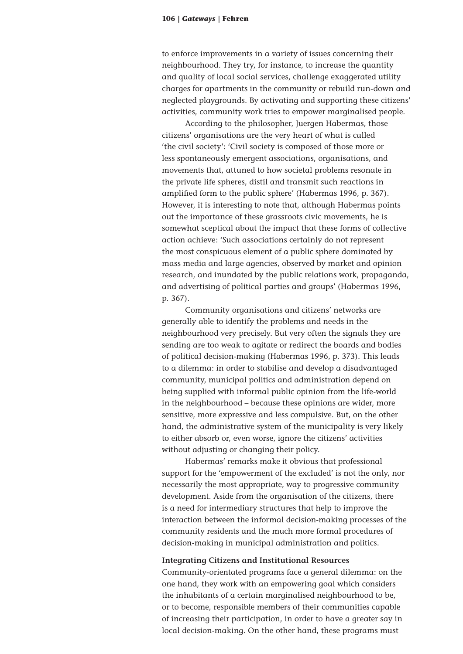to enforce improvements in a variety of issues concerning their neighbourhood. They try, for instance, to increase the quantity and quality of local social services, challenge exaggerated utility charges for apartments in the community or rebuild run-down and neglected playgrounds. By activating and supporting these citizens' activities, community work tries to empower marginalised people.

According to the philosopher, Juergen Habermas, those citizens' organisations are the very heart of what is called 'the civil society': 'Civil society is composed of those more or less spontaneously emergent associations, organisations, and movements that, attuned to how societal problems resonate in the private life spheres, distil and transmit such reactions in amplified form to the public sphere' (Habermas 1996, p. 367). However, it is interesting to note that, although Habermas points out the importance of these grassroots civic movements, he is somewhat sceptical about the impact that these forms of collective action achieve: 'Such associations certainly do not represent the most conspicuous element of a public sphere dominated by mass media and large agencies, observed by market and opinion research, and inundated by the public relations work, propaganda, and advertising of political parties and groups' (Habermas 1996, p. 367).

Community organisations and citizens' networks are generally able to identify the problems and needs in the neighbourhood very precisely. But very often the signals they are sending are too weak to agitate or redirect the boards and bodies of political decision-making (Habermas 1996, p. 373). This leads to a dilemma: in order to stabilise and develop a disadvantaged community, municipal politics and administration depend on being supplied with informal public opinion from the life-world in the neighbourhood – because these opinions are wider, more sensitive, more expressive and less compulsive. But, on the other hand, the administrative system of the municipality is very likely to either absorb or, even worse, ignore the citizens' activities without adjusting or changing their policy.

Habermas' remarks make it obvious that professional support for the 'empowerment of the excluded' is not the only, nor necessarily the most appropriate, way to progressive community development. Aside from the organisation of the citizens, there is a need for intermediary structures that help to improve the interaction between the informal decision-making processes of the community residents and the much more formal procedures of decision-making in municipal administration and politics.

#### **Integrating Citizens and Institutional Resources**

Community-orientated programs face a general dilemma: on the one hand, they work with an empowering goal which considers the inhabitants of a certain marginalised neighbourhood to be, or to become, responsible members of their communities capable of increasing their participation, in order to have a greater say in local decision-making. On the other hand, these programs must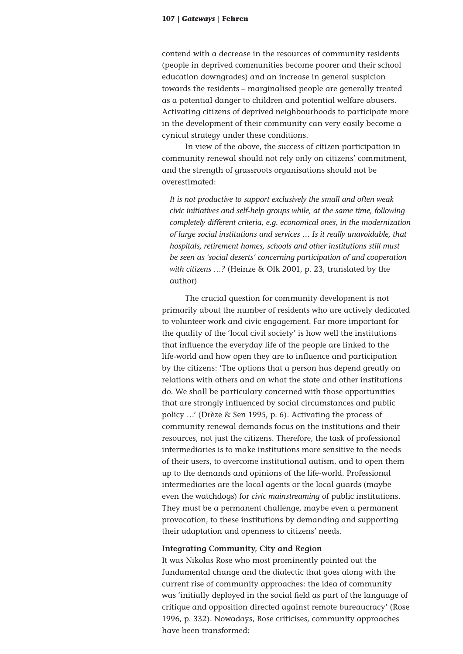contend with a decrease in the resources of community residents (people in deprived communities become poorer and their school education downgrades) and an increase in general suspicion towards the residents – marginalised people are generally treated as a potential danger to children and potential welfare abusers. Activating citizens of deprived neighbourhoods to participate more in the development of their community can very easily become a cynical strategy under these conditions.

In view of the above, the success of citizen participation in community renewal should not rely only on citizens' commitment, and the strength of grassroots organisations should not be overestimated:

*It is not productive to support exclusively the small and often weak civic initiatives and self-help groups while, at the same time, following completely different criteria, e.g. economical ones, in the modernization of large social institutions and services … Is it really unavoidable, that hospitals, retirement homes, schools and other institutions still must be seen as 'social deserts' concerning participation of and cooperation with citizens …?* (Heinze & Olk 2001, p. 23, translated by the author)

The crucial question for community development is not primarily about the number of residents who are actively dedicated to volunteer work and civic engagement. Far more important for the quality of the 'local civil society' is how well the institutions that influence the everyday life of the people are linked to the life-world and how open they are to influence and participation by the citizens: 'The options that a person has depend greatly on relations with others and on what the state and other institutions do. We shall be particulary concerned with those opportunities that are strongly influenced by social circumstances and public policy …' (Drèze & Sen 1995, p. 6). Activating the process of community renewal demands focus on the institutions and their resources, not just the citizens. Therefore, the task of professional intermediaries is to make institutions more sensitive to the needs of their users, to overcome institutional autism, and to open them up to the demands and opinions of the life-world. Professional intermediaries are the local agents or the local guards (maybe even the watchdogs) for *civic mainstreaming* of public institutions. They must be a permanent challenge, maybe even a permanent provocation, to these institutions by demanding and supporting their adaptation and openness to citizens' needs.

#### **Integrating Community, City and Region**

It was Nikolas Rose who most prominently pointed out the fundamental change and the dialectic that goes along with the current rise of community approaches: the idea of community was 'initially deployed in the social field as part of the language of critique and opposition directed against remote bureaucracy' (Rose 1996, p. 332). Nowadays, Rose criticises, community approaches have been transformed: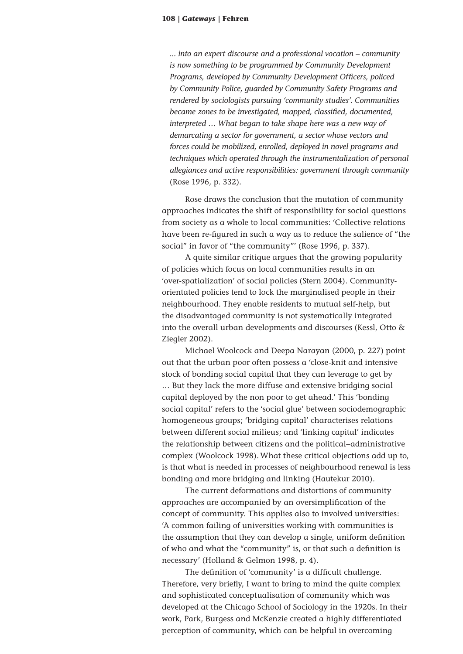*... into an expert discourse and a professional vocation – community is now something to be programmed by Community Development Programs, developed by Community Development Officers, policed by Community Police, guarded by Community Safety Programs and rendered by sociologists pursuing 'community studies'. Communities became zones to be investigated, mapped, classified, documented, interpreted … What began to take shape here was a new way of demarcating a sector for government, a sector whose vectors and forces could be mobilized, enrolled, deployed in novel programs and techniques which operated through the instrumentalization of personal allegiances and active responsibilities: government through community*  (Rose 1996, p. 332)*.* 

Rose draws the conclusion that the mutation of community approaches indicates the shift of responsibility for social questions from society as a whole to local communities: 'Collective relations have been re-figured in such a way as to reduce the salience of "the social" in favor of "the community"' (Rose 1996, p. 337).

A quite similar critique argues that the growing popularity of policies which focus on local communities results in an 'over-spatialization' of social policies (Stern 2004). Communityorientated policies tend to lock the marginalised people in their neighbourhood. They enable residents to mutual self-help, but the disadvantaged community is not systematically integrated into the overall urban developments and discourses (Kessl, Otto & Ziegler 2002).

Michael Woolcock and Deepa Narayan (2000, p. 227) point out that the urban poor often possess a 'close-knit and intensive stock of bonding social capital that they can leverage to get by … But they lack the more diffuse and extensive bridging social capital deployed by the non poor to get ahead.' This 'bonding social capital' refers to the 'social glue' between sociodemographic homogeneous groups; 'bridging capital' characterises relations between different social milieus; and 'linking capital' indicates the relationship between citizens and the political–administrative complex (Woolcock 1998). What these critical objections add up to, is that what is needed in processes of neighbourhood renewal is less bonding and more bridging and linking (Hautekur 2010).

The current deformations and distortions of community approaches are accompanied by an oversimplification of the concept of community. This applies also to involved universities: 'A common failing of universities working with communities is the assumption that they can develop a single, uniform definition of who and what the "community" is, or that such a definition is necessary' (Holland & Gelmon 1998, p. 4).

The definition of 'community' is a difficult challenge. Therefore, very briefly, I want to bring to mind the quite complex and sophisticated conceptualisation of community which was developed at the Chicago School of Sociology in the 1920s. In their work, Park, Burgess and McKenzie created a highly differentiated perception of community, which can be helpful in overcoming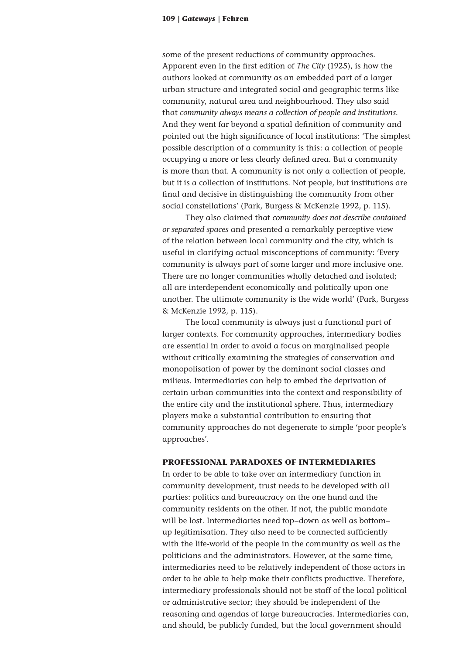some of the present reductions of community approaches. Apparent even in the first edition of *The City* (1925), is how the authors looked at community as an embedded part of a larger urban structure and integrated social and geographic terms like community, natural area and neighbourhood. They also said that *community always means a collection of people and institutions*. And they went far beyond a spatial definition of community and pointed out the high significance of local institutions: 'The simplest possible description of a community is this: a collection of people occupying a more or less clearly defined area. But a community is more than that. A community is not only a collection of people, but it is a collection of institutions. Not people, but institutions are final and decisive in distinguishing the community from other social constellations' (Park, Burgess & McKenzie 1992, p. 115).

They also claimed that *community does not describe contained or separated spaces* and presented a remarkably perceptive view of the relation between local community and the city, which is useful in clarifying actual misconceptions of community: 'Every community is always part of some larger and more inclusive one. There are no longer communities wholly detached and isolated; all are interdependent economically and politically upon one another. The ultimate community is the wide world' (Park, Burgess & McKenzie 1992, p. 115).

The local community is always just a functional part of larger contexts. For community approaches, intermediary bodies are essential in order to avoid a focus on marginalised people without critically examining the strategies of conservation and monopolisation of power by the dominant social classes and milieus. Intermediaries can help to embed the deprivation of certain urban communities into the context and responsibility of the entire city and the institutional sphere. Thus, intermediary players make a substantial contribution to ensuring that community approaches do not degenerate to simple 'poor people's approaches'.

#### **PROFESSIONAL PARADOXES OF INTERMEDIARIES**

In order to be able to take over an intermediary function in community development, trust needs to be developed with all parties: politics and bureaucracy on the one hand and the community residents on the other. If not, the public mandate will be lost. Intermediaries need top–down as well as bottom– up legitimisation. They also need to be connected sufficiently with the life-world of the people in the community as well as the politicians and the administrators. However, at the same time, intermediaries need to be relatively independent of those actors in order to be able to help make their conflicts productive. Therefore, intermediary professionals should not be staff of the local political or administrative sector; they should be independent of the reasoning and agendas of large bureaucracies. Intermediaries can, and should, be publicly funded, but the local government should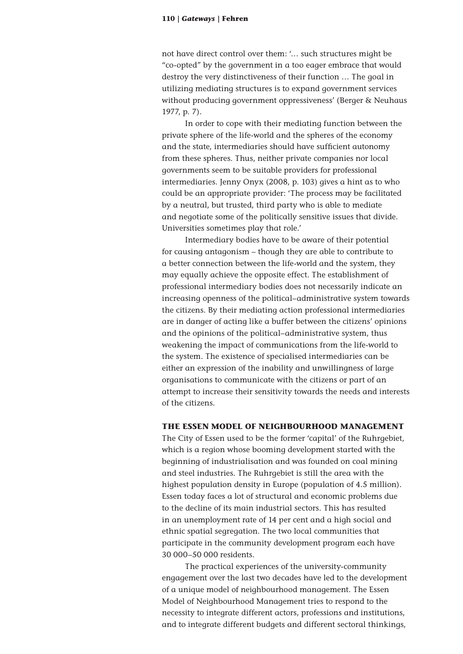not have direct control over them: '… such structures might be "co-opted" by the government in a too eager embrace that would destroy the very distinctiveness of their function … The goal in utilizing mediating structures is to expand government services without producing government oppressiveness' (Berger & Neuhaus 1977, p. 7).

In order to cope with their mediating function between the private sphere of the life-world and the spheres of the economy and the state, intermediaries should have sufficient autonomy from these spheres. Thus, neither private companies nor local governments seem to be suitable providers for professional intermediaries. Jenny Onyx (2008, p. 103) gives a hint as to who could be an appropriate provider: 'The process may be facilitated by a neutral, but trusted, third party who is able to mediate and negotiate some of the politically sensitive issues that divide. Universities sometimes play that role.'

Intermediary bodies have to be aware of their potential for causing antagonism – though they are able to contribute to a better connection between the life-world and the system, they may equally achieve the opposite effect. The establishment of professional intermediary bodies does not necessarily indicate an increasing openness of the political–administrative system towards the citizens. By their mediating action professional intermediaries are in danger of acting like a buffer between the citizens' opinions and the opinions of the political–administrative system, thus weakening the impact of communications from the life-world to the system. The existence of specialised intermediaries can be either an expression of the inability and unwillingness of large organisations to communicate with the citizens or part of an attempt to increase their sensitivity towards the needs and interests of the citizens.

#### **THE ESSEN MODEL OF NEIGHBOURHOOD MANAGEMENT**

The City of Essen used to be the former 'capital' of the Ruhrgebiet, which is a region whose booming development started with the beginning of industrialisation and was founded on coal mining and steel industries. The Ruhrgebiet is still the area with the highest population density in Europe (population of 4.5 million). Essen today faces a lot of structural and economic problems due to the decline of its main industrial sectors. This has resulted in an unemployment rate of 14 per cent and a high social and ethnic spatial segregation. The two local communities that participate in the community development program each have 30 000–50 000 residents.

The practical experiences of the university-community engagement over the last two decades have led to the development of a unique model of neighbourhood management. The Essen Model of Neighbourhood Management tries to respond to the necessity to integrate different actors, professions and institutions, and to integrate different budgets and different sectoral thinkings,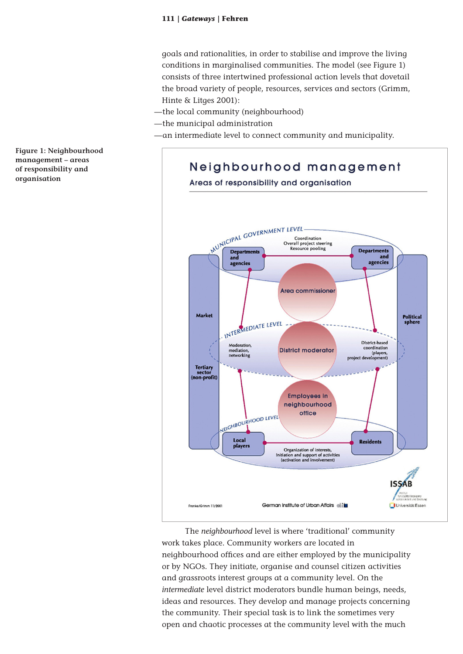goals and rationalities, in order to stabilise and improve the living conditions in marginalised communities. The model (see Figure 1) consists of three intertwined professional action levels that dovetail the broad variety of people, resources, services and sectors (Grimm, Hinte & Litges 2001):

—the local community (neighbourhood)

—the municipal administration

—an intermediate level to connect community and municipality.

Neighbourhood management

Areas of responsibility and organisation WUNICIPAL GOVERNMENT LEVEL Coordination Overall project steering Resource pooling **Departments** Departments<br>and and agencies agencies Area commissioner Market Political<br>sphere INTERMEDIATE LEVEL District-based Moderation coordination mediation,<br>networking **District moderator** (players ..ب<br>velop project de Tertiary<br>sector<br>(non-profit) **Employees in** neighbourhood VEIGHBOURHOOD LEVEL office Local **Residents** players Organization of interests, initiation and support of activities<br>(activation and involvement) **ISSAB** German Institute of Urban Affairs el in Universität Essen Fronke/Grimm 11/2001

The *neighbourhood* level is where 'traditional' community work takes place. Community workers are located in neighbourhood offices and are either employed by the municipality or by NGOs. They initiate, organise and counsel citizen activities and grassroots interest groups at a community level. On the *intermediate* level district moderators bundle human beings, needs, ideas and resources. They develop and manage projects concerning the community. Their special task is to link the sometimes very open and chaotic processes at the community level with the much

**Figure 1: Neighbourhood management – areas of responsibility and organisation**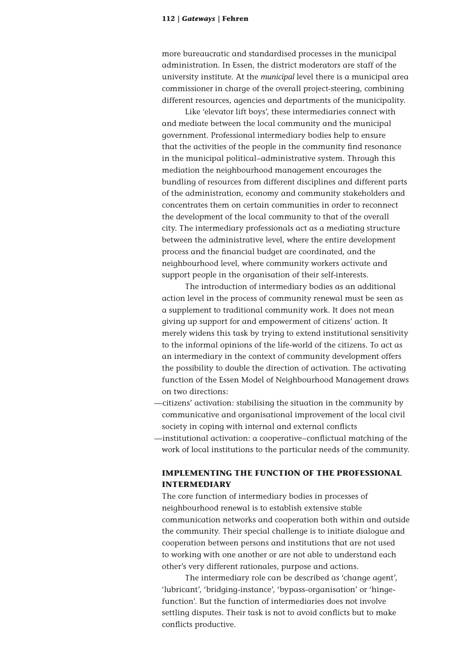more bureaucratic and standardised processes in the municipal administration. In Essen, the district moderators are staff of the university institute. At the *municipal* level there is a municipal area commissioner in charge of the overall project-steering, combining different resources, agencies and departments of the municipality.

Like 'elevator lift boys', these intermediaries connect with and mediate between the local community and the municipal government. Professional intermediary bodies help to ensure that the activities of the people in the community find resonance in the municipal political–administrative system. Through this mediation the neighbourhood management encourages the bundling of resources from different disciplines and different parts of the administration, economy and community stakeholders and concentrates them on certain communities in order to reconnect the development of the local community to that of the overall city. The intermediary professionals act as a mediating structure between the administrative level, where the entire development process and the financial budget are coordinated, and the neighbourhood level, where community workers activate and support people in the organisation of their self-interests.

The introduction of intermediary bodies as an additional action level in the process of community renewal must be seen as a supplement to traditional community work. It does not mean giving up support for and empowerment of citizens' action. It merely widens this task by trying to extend institutional sensitivity to the informal opinions of the life-world of the citizens. To act as an intermediary in the context of community development offers the possibility to double the direction of activation. The activating function of the Essen Model of Neighbourhood Management draws on two directions:

- —citizens' activation: stabilising the situation in the community by communicative and organisational improvement of the local civil society in coping with internal and external conflicts
- —institutional activation: a cooperative–conflictual matching of the work of local institutions to the particular needs of the community.

# **IMPLEMENTING THE FUNCTION OF THE PROFESSIONAL INTERMEDIARY**

The core function of intermediary bodies in processes of neighbourhood renewal is to establish extensive stable communication networks and cooperation both within and outside the community. Their special challenge is to initiate dialogue and cooperation between persons and institutions that are not used to working with one another or are not able to understand each other's very different rationales, purpose and actions.

The intermediary role can be described as 'change agent', 'lubricant', 'bridging-instance', 'bypass-organisation' or 'hingefunction'. But the function of intermediaries does not involve settling disputes. Their task is not to avoid conflicts but to make conflicts productive.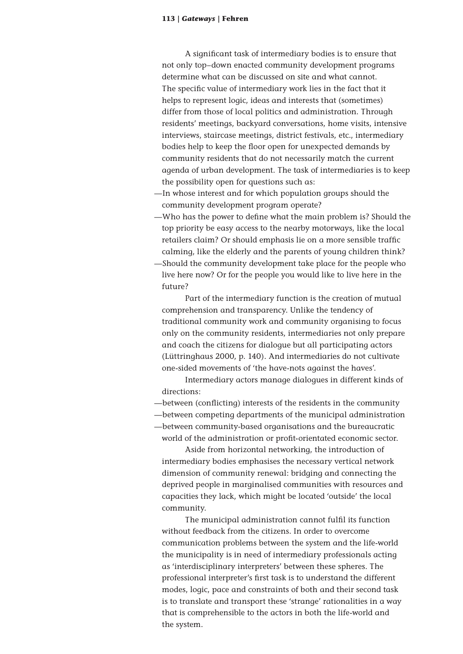A significant task of intermediary bodies is to ensure that not only top–down enacted community development programs determine what can be discussed on site and what cannot. The specific value of intermediary work lies in the fact that it helps to represent logic, ideas and interests that (sometimes) differ from those of local politics and administration. Through residents' meetings, backyard conversations, home visits, intensive interviews, staircase meetings, district festivals, etc., intermediary bodies help to keep the floor open for unexpected demands by community residents that do not necessarily match the current agenda of urban development. The task of intermediaries is to keep the possibility open for questions such as:

- —In whose interest and for which population groups should the community development program operate?
- —Who has the power to define what the main problem is? Should the top priority be easy access to the nearby motorways, like the local retailers claim? Or should emphasis lie on a more sensible traffic calming, like the elderly and the parents of young children think?
- —Should the community development take place for the people who live here now? Or for the people you would like to live here in the future?

Part of the intermediary function is the creation of mutual comprehension and transparency. Unlike the tendency of traditional community work and community organising to focus only on the community residents, intermediaries not only prepare and coach the citizens for dialogue but all participating actors (Lüttringhaus 2000, p. 140). And intermediaries do not cultivate one-sided movements of 'the have-nots against the haves'.

Intermediary actors manage dialogues in different kinds of directions:

- —between (conflicting) interests of the residents in the community
- —between competing departments of the municipal administration

—between community-based organisations and the bureaucratic world of the administration or profit**-**orientated economic sector.

Aside from horizontal networking, the introduction of intermediary bodies emphasises the necessary vertical network dimension of community renewal: bridging and connecting the deprived people in marginalised communities with resources and capacities they lack, which might be located 'outside' the local community.

The municipal administration cannot fulfil its function without feedback from the citizens. In order to overcome communication problems between the system and the life-world the municipality is in need of intermediary professionals acting as 'interdisciplinary interpreters' between these spheres. The professional interpreter's first task is to understand the different modes, logic, pace and constraints of both and their second task is to translate and transport these 'strange' rationalities in a way that is comprehensible to the actors in both the life-world and the system.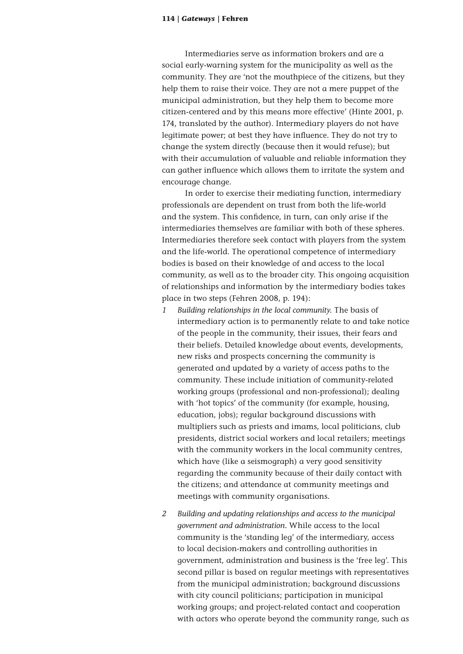Intermediaries serve as information brokers and are a social early-warning system for the municipality as well as the community. They are 'not the mouthpiece of the citizens, but they help them to raise their voice. They are not a mere puppet of the municipal administration, but they help them to become more citizen-centered and by this means more effective' (Hinte 2001, p. 174, translated by the author). Intermediary players do not have legitimate power; at best they have influence. They do not try to change the system directly (because then it would refuse); but with their accumulation of valuable and reliable information they can gather influence which allows them to irritate the system and encourage change.

In order to exercise their mediating function, intermediary professionals are dependent on trust from both the life-world and the system. This confidence, in turn, can only arise if the intermediaries themselves are familiar with both of these spheres. Intermediaries therefore seek contact with players from the system and the life-world. The operational competence of intermediary bodies is based on their knowledge of and access to the local community, as well as to the broader city. This ongoing acquisition of relationships and information by the intermediary bodies takes place in two steps (Fehren 2008, p. 194):

- *1 Building relationships in the local community.* The basis of intermediary action is to permanently relate to and take notice of the people in the community, their issues, their fears and their beliefs. Detailed knowledge about events, developments, new risks and prospects concerning the community is generated and updated by a variety of access paths to the community. These include initiation of community-related working groups (professional and non-professional); dealing with 'hot topics' of the community (for example, housing, education, jobs); regular background discussions with multipliers such as priests and imams, local politicians, club presidents, district social workers and local retailers; meetings with the community workers in the local community centres, which have (like a seismograph) a very good sensitivity regarding the community because of their daily contact with the citizens; and attendance at community meetings and meetings with community organisations.
- *2 Building and updating relationships and access to the municipal government and administration.* While access to the local community is the 'standing leg' of the intermediary, access to local decision-makers and controlling authorities in government, administration and business is the 'free leg'. This second pillar is based on regular meetings with representatives from the municipal administration; background discussions with city council politicians; participation in municipal working groups; and project-related contact and cooperation with actors who operate beyond the community range, such as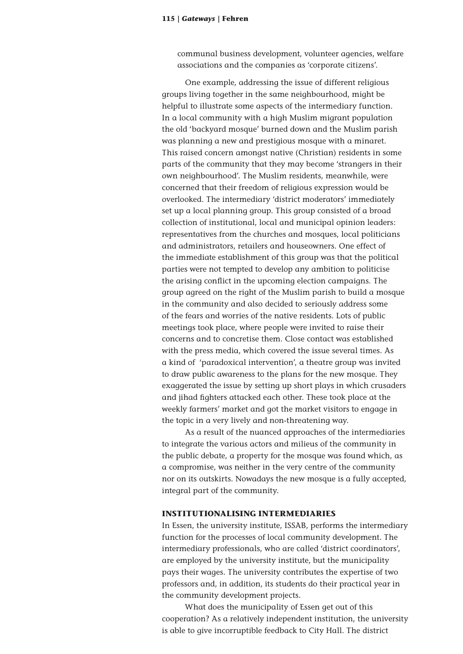communal business development, volunteer agencies, welfare associations and the companies as 'corporate citizens'.

One example, addressing the issue of different religious groups living together in the same neighbourhood, might be helpful to illustrate some aspects of the intermediary function. In a local community with a high Muslim migrant population the old 'backyard mosque' burned down and the Muslim parish was planning a new and prestigious mosque with a minaret. This raised concern amongst native (Christian) residents in some parts of the community that they may become 'strangers in their own neighbourhood'. The Muslim residents, meanwhile, were concerned that their freedom of religious expression would be overlooked. The intermediary 'district moderators' immediately set up a local planning group. This group consisted of a broad collection of institutional, local and municipal opinion leaders: representatives from the churches and mosques, local politicians and administrators, retailers and houseowners. One effect of the immediate establishment of this group was that the political parties were not tempted to develop any ambition to politicise the arising conflict in the upcoming election campaigns. The group agreed on the right of the Muslim parish to build a mosque in the community and also decided to seriously address some of the fears and worries of the native residents. Lots of public meetings took place, where people were invited to raise their concerns and to concretise them. Close contact was established with the press media, which covered the issue several times. As a kind of 'paradoxical intervention', a theatre group was invited to draw public awareness to the plans for the new mosque. They exaggerated the issue by setting up short plays in which crusaders and jihad fighters attacked each other. These took place at the weekly farmers' market and got the market visitors to engage in the topic in a very lively and non-threatening way.

As a result of the nuanced approaches of the intermediaries to integrate the various actors and milieus of the community in the public debate, a property for the mosque was found which, as a compromise, was neither in the very centre of the community nor on its outskirts. Nowadays the new mosque is a fully accepted, integral part of the community.

#### **INSTITUTIONALISING INTERMEDIARIES**

In Essen, the university institute, ISSAB, performs the intermediary function for the processes of local community development. The intermediary professionals, who are called 'district coordinators', are employed by the university institute, but the municipality pays their wages. The university contributes the expertise of two professors and, in addition, its students do their practical year in the community development projects.

What does the municipality of Essen get out of this cooperation? As a relatively independent institution, the university is able to give incorruptible feedback to City Hall. The district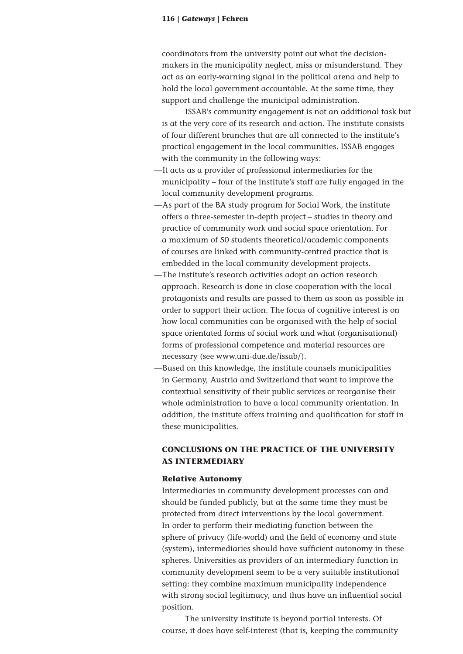coordinators from the university point out what the decisionmakers in the municipality neglect, miss or misunderstand. They act as an early-warning signal in the political arena and help to hold the local government accountable. At the same time, they support and challenge the municipal administration.

ISSAB's community engagement is not an additional task but is at the very core of its research and action. The institute consists of four different branches that are all connected to the institute's practical engagement in the local communities. ISSAB engages with the community in the following ways:

- —It acts as a provider of professional intermediaries for the municipality – four of the institute's staff are fully engaged in the local community development programs.
- —As part of the BA study program for Social Work, the institute offers a three-semester in-depth project – studies in theory and practice of community work and social space orientation. For a maximum of 50 students theoretical/academic components of courses are linked with community-centred practice that is embedded in the local community development projects.
- —The institute's research activities adopt an action research approach. Research is done in close cooperation with the local protagonists and results are passed to them as soon as possible in order to support their action. The focus of cognitive interest is on how local communities can be organised with the help of social space orientated forms of social work and what (organisational) forms of professional competence and material resources are necessary (see www.uni-due.de/issab/).
- —Based on this knowledge, the institute counsels municipalities in Germany, Austria and Switzerland that want to improve the contextual sensitivity of their public services or reorganise their whole administration to have a local community orientation. In addition, the institute offers training and qualification for staff in these municipalities.

## **CONCLUSIONS ON THE PRACTICE OF THE UNIVERSITY AS INTERMEDIARY**

#### **Relative Autonomy**

Intermediaries in community development processes can and should be funded publicly, but at the same time they must be protected from direct interventions by the local government. In order to perform their mediating function between the sphere of privacy (life-world) and the field of economy and state (system), intermediaries should have sufficient autonomy in these spheres. Universities as providers of an intermediary function in community development seem to be a very suitable institutional setting: they combine maximum municipality independence with strong social legitimacy, and thus have an influential social position.

The university institute is beyond partial interests. Of course, it does have self-interest (that is, keeping the community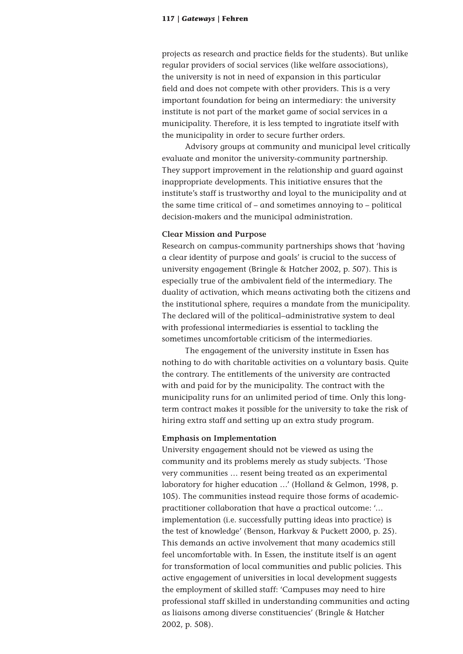projects as research and practice fields for the students). But unlike regular providers of social services (like welfare associations), the university is not in need of expansion in this particular field and does not compete with other providers. This is a very important foundation for being an intermediary: the university institute is not part of the market game of social services in a municipality. Therefore, it is less tempted to ingratiate itself with the municipality in order to secure further orders.

Advisory groups at community and municipal level critically evaluate and monitor the university-community partnership. They support improvement in the relationship and guard against inappropriate developments. This initiative ensures that the institute's staff is trustworthy and loyal to the municipality and at the same time critical of – and sometimes annoying to – political decision-makers and the municipal administration.

#### **Clear Mission and Purpose**

Research on campus-community partnerships shows that 'having a clear identity of purpose and goals' is crucial to the success of university engagement (Bringle & Hatcher 2002, p. 507). This is especially true of the ambivalent field of the intermediary. The duality of activation, which means activating both the citizens and the institutional sphere, requires a mandate from the municipality. The declared will of the political–administrative system to deal with professional intermediaries is essential to tackling the sometimes uncomfortable criticism of the intermediaries.

The engagement of the university institute in Essen has nothing to do with charitable activities on a voluntary basis. Quite the contrary. The entitlements of the university are contracted with and paid for by the municipality. The contract with the municipality runs for an unlimited period of time. Only this longterm contract makes it possible for the university to take the risk of hiring extra staff and setting up an extra study program.

#### **Emphasis on Implementation**

University engagement should not be viewed as using the community and its problems merely as study subjects. 'Those very communities … resent being treated as an experimental laboratory for higher education …' (Holland & Gelmon, 1998, p. 105). The communities instead require those forms of academicpractitioner collaboration that have a practical outcome: '… implementation (i.e. successfully putting ideas into practice) is the test of knowledge' (Benson, Harkvay & Puckett 2000, p. 25). This demands an active involvement that many academics still feel uncomfortable with. In Essen, the institute itself is an agent for transformation of local communities and public policies. This active engagement of universities in local development suggests the employment of skilled staff: 'Campuses may need to hire professional staff skilled in understanding communities and acting as liaisons among diverse constituencies' (Bringle & Hatcher 2002, p. 508).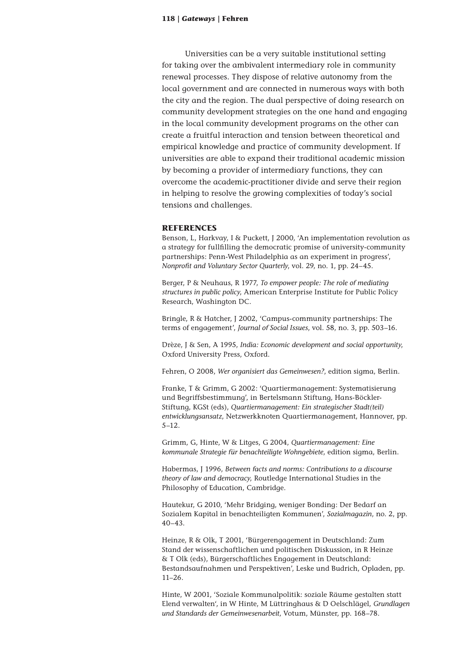Universities can be a very suitable institutional setting for taking over the ambivalent intermediary role in community renewal processes. They dispose of relative autonomy from the local government and are connected in numerous ways with both the city and the region. The dual perspective of doing research on community development strategies on the one hand and engaging in the local community development programs on the other can create a fruitful interaction and tension between theoretical and empirical knowledge and practice of community development. If universities are able to expand their traditional academic mission by becoming a provider of intermediary functions, they can overcome the academic-practitioner divide and serve their region in helping to resolve the growing complexities of today's social tensions and challenges.

#### **REFERENCES**

Benson, L, Harkvay, I & Puckett, J 2000, 'An implementation revolution as a strategy for fullfilling the democratic promise of university-community partnerships: Penn-West Philadelphia as an experiment in progress', *Nonprofit and Voluntary Sector Quarterly*, vol. 29, no. 1, pp. 24–45.

Berger, P & Neuhaus, R 1977, *To empower people: The role of mediating structures in public policy*, American Enterprise Institute for Public Policy Research, Washington DC.

Bringle, R & Hatcher, J 2002, 'Campus-community partnerships: The terms of engagement', *Journal of Social Issues*, vol. 58, no. 3, pp. 503–16.

Drèze, J & Sen, A 1995, *India: Economic development and social opportunity*, Oxford University Press, Oxford.

Fehren, O 2008, *Wer organisiert das Gemeinwesen?*, edition sigma, Berlin.

Franke, T & Grimm, G 2002: 'Quartiermanagement: Systematisierung und Begriffsbestimmung', in Bertelsmann Stiftung, Hans-Böckler-Stiftung, KGSt (eds), *Quartiermanagement: Ein strategischer Stadt(teil) entwicklungsansatz*, Netzwerkknoten Quartiermanagement, Hannover, pp. 5–12.

Grimm, G, Hinte, W & Litges, G 2004, *Quartiermanagement: Eine kommunale Strategie für benachteiligte Wohngebiete*, edition sigma, Berlin.

Habermas, J 1996, *Between facts and norms: Contributions to a discourse theory of law and democracy*, Routledge International Studies in the Philosophy of Education, Cambridge.

Hautekur, G 2010, 'Mehr Bridging, weniger Bonding: Der Bedarf an Sozialem Kapital in benachteiligten Kommunen', *Sozialmagazin*, no. 2, pp. 40–43.

Heinze, R & Olk, T 2001, 'Bürgerengagement in Deutschland: Zum Stand der wissenschaftlichen und politischen Diskussion, in R Heinze & T Olk (eds), Bürgerschaftliches Engagement in Deutschland: Bestandsaufnahmen und Perspektiven', Leske und Budrich, Opladen, pp. 11–26.

Hinte, W 2001, 'Soziale Kommunalpolitik: soziale Räume gestalten statt Elend verwalten', in W Hinte, M Lüttringhaus & D Oelschlägel, *Grundlagen und Standards der Gemeinwesenarbeit*, Votum, Münster, pp. 168–78.